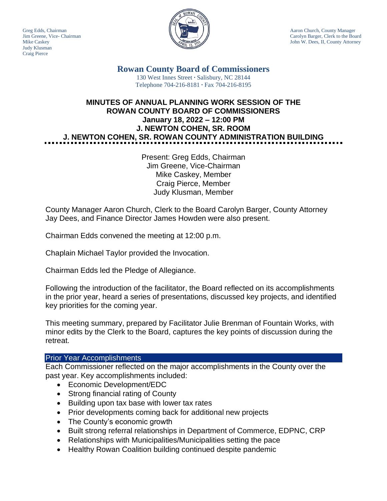Judy Klusman Craig Pierce



Greg Edds, Chairman Aaron Church, County Manager (According to the MtChurch, County Manager) Jim Greene, Vice- Chairman Carolyn Barger, Clerk to the Board Mike Caskey John W. Dees, II, County Attorney

> **Rowan County Board of Commissioners** 130 West Innes Street **∙** Salisbury, NC 28144 Telephone 704-216-8181 **∙** Fax 704-216-8195

# **MINUTES OF ANNUAL PLANNING WORK SESSION OF THE ROWAN COUNTY BOARD OF COMMISSIONERS January 18, 2022 – 12:00 PM J. NEWTON COHEN, SR. ROOM J. NEWTON COHEN, SR. ROWAN COUNTY ADMINISTRATION BUILDING**

Present: Greg Edds, Chairman Jim Greene, Vice-Chairman Mike Caskey, Member Craig Pierce, Member Judy Klusman, Member

County Manager Aaron Church, Clerk to the Board Carolyn Barger, County Attorney Jay Dees, and Finance Director James Howden were also present.

Chairman Edds convened the meeting at 12:00 p.m.

Chaplain Michael Taylor provided the Invocation.

Chairman Edds led the Pledge of Allegiance.

Following the introduction of the facilitator, the Board reflected on its accomplishments in the prior year, heard a series of presentations, discussed key projects, and identified key priorities for the coming year.

This meeting summary, prepared by Facilitator Julie Brenman of Fountain Works, with minor edits by the Clerk to the Board, captures the key points of discussion during the retreat.

#### Prior Year Accomplishments

Each Commissioner reflected on the major accomplishments in the County over the past year. Key accomplishments included:

- Economic Development/EDC
- Strong financial rating of County
- Building upon tax base with lower tax rates
- Prior developments coming back for additional new projects
- The County's economic growth
- Built strong referral relationships in Department of Commerce, EDPNC, CRP
- Relationships with Municipalities/Municipalities setting the pace
- Healthy Rowan Coalition building continued despite pandemic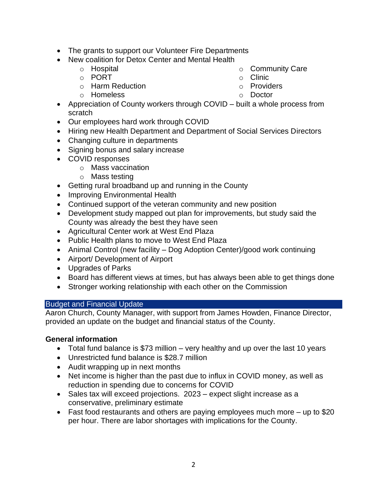- The grants to support our Volunteer Fire Departments
- New coalition for Detox Center and Mental Health
	- o Hospital
	- o PORT
	- o Harm Reduction
	- o Homeless
- o Community Care
- o Clinic
- o Providers
- o Doctor
- Appreciation of County workers through COVID built a whole process from scratch
- Our employees hard work through COVID
- Hiring new Health Department and Department of Social Services Directors
- Changing culture in departments
- Signing bonus and salary increase
- COVID responses
	- o Mass vaccination
	- o Mass testing
- Getting rural broadband up and running in the County
- Improving Environmental Health
- Continued support of the veteran community and new position
- Development study mapped out plan for improvements, but study said the County was already the best they have seen
- Agricultural Center work at West End Plaza
- Public Health plans to move to West End Plaza
- Animal Control (new facility Dog Adoption Center)/good work continuing
- Airport/ Development of Airport
- Upgrades of Parks
- Board has different views at times, but has always been able to get things done
- Stronger working relationship with each other on the Commission

## Budget and Financial Update

Aaron Church, County Manager, with support from James Howden, Finance Director, provided an update on the budget and financial status of the County.

## **General information**

- Total fund balance is \$73 million very healthy and up over the last 10 years
- Unrestricted fund balance is \$28.7 million
- Audit wrapping up in next months
- Net income is higher than the past due to influx in COVID money, as well as reduction in spending due to concerns for COVID
- Sales tax will exceed projections. 2023 expect slight increase as a conservative, preliminary estimate
- Fast food restaurants and others are paying employees much more up to \$20 per hour. There are labor shortages with implications for the County.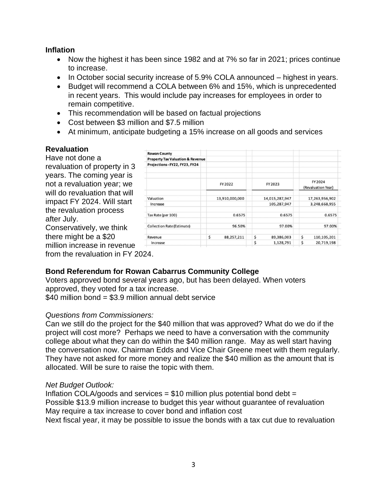## **Inflation**

- Now the highest it has been since 1982 and at 7% so far in 2021; prices continue to increase.
- In October social security increase of 5.9% COLA announced highest in years.
- Budget will recommend a COLA between 6% and 15%, which is unprecedented in recent years. This would include pay increases for employees in order to remain competitive.
- This recommendation will be based on factual projections
- Cost between \$3 million and \$7.5 million
- At minimum, anticipate budgeting a 15% increase on all goods and services

## **Revaluation**

Have not done a revaluation of property in 3 years. The coming year is not a revaluation year; we will do revaluation that will impact FY 2024. Will start the revaluation process after July.

Conservatively, we think there might be a \$20 million increase in revenue

| <b>Rowan County</b>                         |                  |                  |                               |
|---------------------------------------------|------------------|------------------|-------------------------------|
| <b>Property Tax Valuation &amp; Revenue</b> |                  |                  |                               |
| Projections - FY22, FY23, FY24              |                  |                  |                               |
|                                             | FY 2022          | FY 2023          | FY 2024<br>(Revaluation Year) |
| Valuation                                   | 13,910,000,000   | 14,015,287,947   | 17,263,956,902                |
| Increase                                    |                  | 105,287,947      | 3,248,668,955                 |
| Tax Rate (per 100)                          | 0.6575           | 0.6575           | 0.6575                        |
| <b>Collection Rate (Estimate)</b>           | 96.50%           | 97.00%           | 97.00%                        |
| Revenue                                     | \$<br>88,257,211 | \$<br>89,386,003 | \$<br>110,105,201             |
| Increase                                    |                  | \$<br>1,128,791  | \$<br>20,719,198              |

from the revaluation in FY 2024.

# **Bond Referendum for Rowan Cabarrus Community College**

Voters approved bond several years ago, but has been delayed. When voters approved, they voted for a tax increase.

\$40 million bond = \$3.9 million annual debt service

# *Questions from Commissioners:*

Can we still do the project for the \$40 million that was approved? What do we do if the project will cost more? Perhaps we need to have a conversation with the community college about what they can do within the \$40 million range. May as well start having the conversation now. Chairman Edds and Vice Chair Greene meet with them regularly. They have not asked for more money and realize the \$40 million as the amount that is allocated. Will be sure to raise the topic with them.

## *Net Budget Outlook:*

Inflation COLA/goods and services =  $$10$  million plus potential bond debt = Possible \$13.9 million increase to budget this year without guarantee of revaluation May require a tax increase to cover bond and inflation cost Next fiscal year, it may be possible to issue the bonds with a tax cut due to revaluation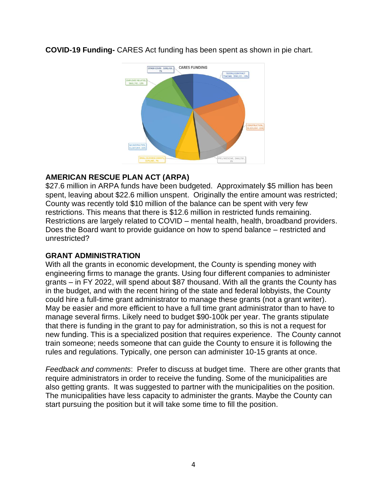

**COVID-19 Funding-** CARES Act funding has been spent as shown in pie chart.

# **AMERICAN RESCUE PLAN ACT (ARPA)**

\$27.6 million in ARPA funds have been budgeted. Approximately \$5 million has been spent, leaving about \$22.6 million unspent. Originally the entire amount was restricted; County was recently told \$10 million of the balance can be spent with very few restrictions. This means that there is \$12.6 million in restricted funds remaining. Restrictions are largely related to COVID – mental health, health, broadband providers. Does the Board want to provide guidance on how to spend balance – restricted and unrestricted?

# **GRANT ADMINISTRATION**

With all the grants in economic development, the County is spending money with engineering firms to manage the grants. Using four different companies to administer grants – in FY 2022, will spend about \$87 thousand. With all the grants the County has in the budget, and with the recent hiring of the state and federal lobbyists, the County could hire a full-time grant administrator to manage these grants (not a grant writer). May be easier and more efficient to have a full time grant administrator than to have to manage several firms. Likely need to budget \$90-100k per year. The grants stipulate that there is funding in the grant to pay for administration, so this is not a request for new funding. This is a specialized position that requires experience. The County cannot train someone; needs someone that can guide the County to ensure it is following the rules and regulations. Typically, one person can administer 10-15 grants at once.

*Feedback and comments*: Prefer to discuss at budget time. There are other grants that require administrators in order to receive the funding. Some of the municipalities are also getting grants. It was suggested to partner with the municipalities on the position. The municipalities have less capacity to administer the grants. Maybe the County can start pursuing the position but it will take some time to fill the position.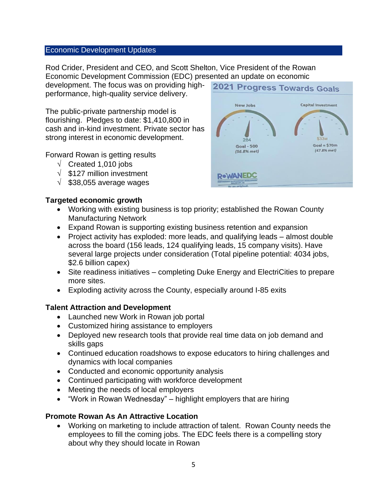#### Economic Development Updates

Rod Crider, President and CEO, and Scott Shelton, Vice President of the Rowan Economic Development Commission (EDC) presented an update on economic **2021 Progress Towards Goals** 

development. The focus was on providing highperformance, high-quality service delivery.

The public-private partnership model is flourishing. Pledges to date: \$1,410,800 in cash and in-kind investment. Private sector has strong interest in economic development.

Forward Rowan is getting results

- $\sqrt{\phantom{a}}$  Created 1,010 jobs
- $\sqrt{ }$  \$127 million investment
- $\sqrt{ }$  \$38,055 average wages

# 284  $Goal = $70m$ **Goal - 500** (47.8% met)  $(56.8% met)$ **ROWANEDC**

**New Jobs** 

Capital Investment

#### **Targeted economic growth**

- Working with existing business is top priority; established the Rowan County Manufacturing Network
- Expand Rowan is supporting existing business retention and expansion
- Project activity has exploded: more leads, and qualifying leads almost double across the board (156 leads, 124 qualifying leads, 15 company visits). Have several large projects under consideration (Total pipeline potential: 4034 jobs, \$2.6 billion capex)
- Site readiness initiatives completing Duke Energy and ElectriCities to prepare more sites.
- Exploding activity across the County, especially around I-85 exits

## **Talent Attraction and Development**

- Launched new Work in Rowan job portal
- Customized hiring assistance to employers
- Deployed new research tools that provide real time data on job demand and skills gaps
- Continued education roadshows to expose educators to hiring challenges and dynamics with local companies
- Conducted and economic opportunity analysis
- Continued participating with workforce development
- Meeting the needs of local employers
- "Work in Rowan Wednesday" highlight employers that are hiring

## **Promote Rowan As An Attractive Location**

• Working on marketing to include attraction of talent. Rowan County needs the employees to fill the coming jobs. The EDC feels there is a compelling story about why they should locate in Rowan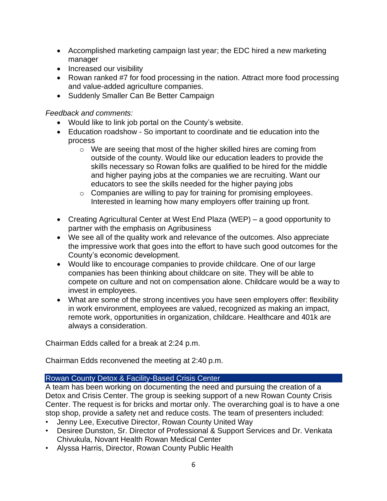- Accomplished marketing campaign last year; the EDC hired a new marketing manager
- Increased our visibility
- Rowan ranked #7 for food processing in the nation. Attract more food processing and value-added agriculture companies.
- Suddenly Smaller Can Be Better Campaign

*Feedback and comments:*

- Would like to link job portal on the County's website.
- Education roadshow So important to coordinate and tie education into the process
	- o We are seeing that most of the higher skilled hires are coming from outside of the county. Would like our education leaders to provide the skills necessary so Rowan folks are qualified to be hired for the middle and higher paying jobs at the companies we are recruiting. Want our educators to see the skills needed for the higher paying jobs
	- o Companies are willing to pay for training for promising employees. Interested in learning how many employers offer training up front.
- Creating Agricultural Center at West End Plaza (WEP) a good opportunity to partner with the emphasis on Agribusiness
- We see all of the quality work and relevance of the outcomes. Also appreciate the impressive work that goes into the effort to have such good outcomes for the County's economic development.
- Would like to encourage companies to provide childcare. One of our large companies has been thinking about childcare on site. They will be able to compete on culture and not on compensation alone. Childcare would be a way to invest in employees.
- What are some of the strong incentives you have seen employers offer: flexibility in work environment, employees are valued, recognized as making an impact, remote work, opportunities in organization, childcare. Healthcare and 401k are always a consideration.

Chairman Edds called for a break at 2:24 p.m.

Chairman Edds reconvened the meeting at 2:40 p.m.

## Rowan County Detox & Facility-Based Crisis Center

A team has been working on documenting the need and pursuing the creation of a Detox and Crisis Center. The group is seeking support of a new Rowan County Crisis Center. The request is for bricks and mortar only. The overarching goal is to have a one stop shop, provide a safety net and reduce costs. The team of presenters included:

- Jenny Lee, Executive Director, Rowan County United Way
- Desiree Dunston, Sr. Director of Professional & Support Services and Dr. Venkata Chivukula, Novant Health Rowan Medical Center
- Alyssa Harris, Director, Rowan County Public Health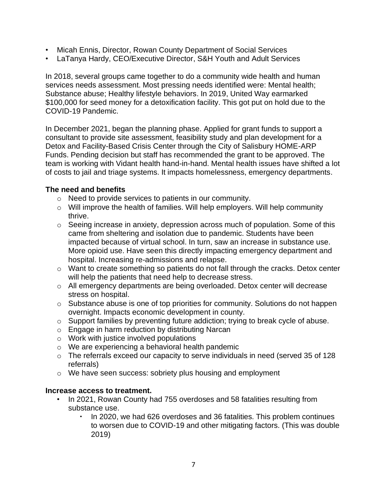- Micah Ennis, Director, Rowan County Department of Social Services
- LaTanya Hardy, CEO/Executive Director, S&H Youth and Adult Services

In 2018, several groups came together to do a community wide health and human services needs assessment. Most pressing needs identified were: Mental health; Substance abuse; Healthy lifestyle behaviors. In 2019, United Way earmarked \$100,000 for seed money for a detoxification facility. This got put on hold due to the COVID-19 Pandemic.

In December 2021, began the planning phase. Applied for grant funds to support a consultant to provide site assessment, feasibility study and plan development for a Detox and Facility-Based Crisis Center through the City of Salisbury HOME-ARP Funds. Pending decision but staff has recommended the grant to be approved. The team is working with Vidant health hand-in-hand. Mental health issues have shifted a lot of costs to jail and triage systems. It impacts homelessness, emergency departments.

## **The need and benefits**

- o Need to provide services to patients in our community.
- o Will improve the health of families. Will help employers. Will help community thrive.
- $\circ$  Seeing increase in anxiety, depression across much of population. Some of this came from sheltering and isolation due to pandemic. Students have been impacted because of virtual school. In turn, saw an increase in substance use. More opioid use. Have seen this directly impacting emergency department and hospital. Increasing re-admissions and relapse.
- o Want to create something so patients do not fall through the cracks. Detox center will help the patients that need help to decrease stress.
- o All emergency departments are being overloaded. Detox center will decrease stress on hospital.
- o Substance abuse is one of top priorities for community. Solutions do not happen overnight. Impacts economic development in county.
- o Support families by preventing future addiction; trying to break cycle of abuse.
- o Engage in harm reduction by distributing Narcan
- o Work with justice involved populations
- o We are experiencing a behavioral health pandemic
- o The referrals exceed our capacity to serve individuals in need (served 35 of 128 referrals)
- o We have seen success: sobriety plus housing and employment

## **Increase access to treatment.**

- In 2021, Rowan County had 755 overdoses and 58 fatalities resulting from substance use.
	- In 2020, we had 626 overdoses and 36 fatalities. This problem continues to worsen due to COVID-19 and other mitigating factors. (This was double 2019)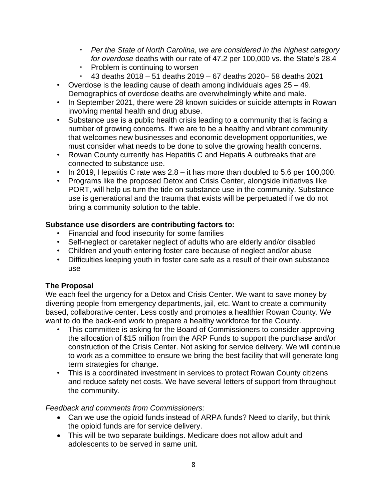- *Per the State of North Carolina, we are considered in the highest category for overdose* deaths with our rate of 47.2 per 100,000 vs. the State's 28.4
- Problem is continuing to worsen
- $\cdot$  43 deaths 2018 51 deaths 2019 67 deaths 2020– 58 deaths 2021
- Overdose is the leading cause of death among individuals ages 25 49. Demographics of overdose deaths are overwhelmingly white and male.
- In September 2021, there were 28 known suicides or suicide attempts in Rowan involving mental health and drug abuse.
- Substance use is a public health crisis leading to a community that is facing a number of growing concerns. If we are to be a healthy and vibrant community that welcomes new businesses and economic development opportunities, we must consider what needs to be done to solve the growing health concerns.
- Rowan County currently has Hepatitis C and Hepatis A outbreaks that are connected to substance use.
- In 2019, Hepatitis C rate was 2.8 it has more than doubled to 5.6 per 100,000.
- Programs like the proposed Detox and Crisis Center, alongside initiatives like PORT, will help us turn the tide on substance use in the community. Substance use is generational and the trauma that exists will be perpetuated if we do not bring a community solution to the table.

## **Substance use disorders are contributing factors to:**

- Financial and food insecurity for some families
- Self-neglect or caretaker neglect of adults who are elderly and/or disabled
- Children and youth entering foster care because of neglect and/or abuse
- Difficulties keeping youth in foster care safe as a result of their own substance use

# **The Proposal**

We each feel the urgency for a Detox and Crisis Center. We want to save money by diverting people from emergency departments, jail, etc. Want to create a community based, collaborative center. Less costly and promotes a healthier Rowan County. We want to do the back-end work to prepare a healthy workforce for the County.

- This committee is asking for the Board of Commissioners to consider approving the allocation of \$15 million from the ARP Funds to support the purchase and/or construction of the Crisis Center. Not asking for service delivery. We will continue to work as a committee to ensure we bring the best facility that will generate long term strategies for change.
- This is a coordinated investment in services to protect Rowan County citizens and reduce safety net costs. We have several letters of support from throughout the community.

# *Feedback and comments from Commissioners:*

- Can we use the opioid funds instead of ARPA funds? Need to clarify, but think the opioid funds are for service delivery.
- This will be two separate buildings. Medicare does not allow adult and adolescents to be served in same unit.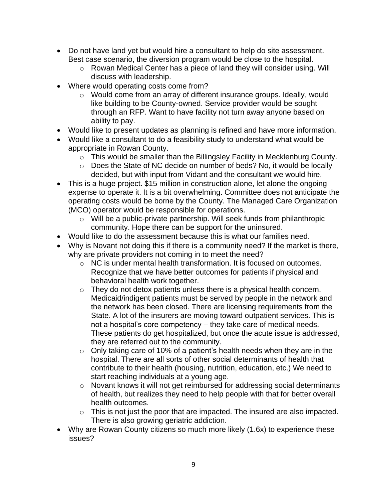- Do not have land yet but would hire a consultant to help do site assessment. Best case scenario, the diversion program would be close to the hospital.
	- o Rowan Medical Center has a piece of land they will consider using. Will discuss with leadership.
- Where would operating costs come from?
	- o Would come from an array of different insurance groups. Ideally, would like building to be County-owned. Service provider would be sought through an RFP. Want to have facility not turn away anyone based on ability to pay.
- Would like to present updates as planning is refined and have more information.
- Would like a consultant to do a feasibility study to understand what would be appropriate in Rowan County.
	- o This would be smaller than the Billingsley Facility in Mecklenburg County.
	- o Does the State of NC decide on number of beds? No, it would be locally decided, but with input from Vidant and the consultant we would hire.
- This is a huge project. \$15 million in construction alone, let alone the ongoing expense to operate it. It is a bit overwhelming. Committee does not anticipate the operating costs would be borne by the County. The Managed Care Organization (MCO) operator would be responsible for operations.
	- o Will be a public-private partnership. Will seek funds from philanthropic community. Hope there can be support for the uninsured.
- Would like to do the assessment because this is what our families need.
- Why is Novant not doing this if there is a community need? If the market is there, why are private providers not coming in to meet the need?
	- o NC is under mental health transformation. It is focused on outcomes. Recognize that we have better outcomes for patients if physical and behavioral health work together.
	- o They do not detox patients unless there is a physical health concern. Medicaid/indigent patients must be served by people in the network and the network has been closed. There are licensing requirements from the State. A lot of the insurers are moving toward outpatient services. This is not a hospital's core competency – they take care of medical needs. These patients do get hospitalized, but once the acute issue is addressed, they are referred out to the community.
	- $\circ$  Only taking care of 10% of a patient's health needs when they are in the hospital. There are all sorts of other social determinants of health that contribute to their health (housing, nutrition, education, etc.) We need to start reaching individuals at a young age.
	- o Novant knows it will not get reimbursed for addressing social determinants of health, but realizes they need to help people with that for better overall health outcomes.
	- $\circ$  This is not just the poor that are impacted. The insured are also impacted. There is also growing geriatric addiction.
- Why are Rowan County citizens so much more likely (1.6x) to experience these issues?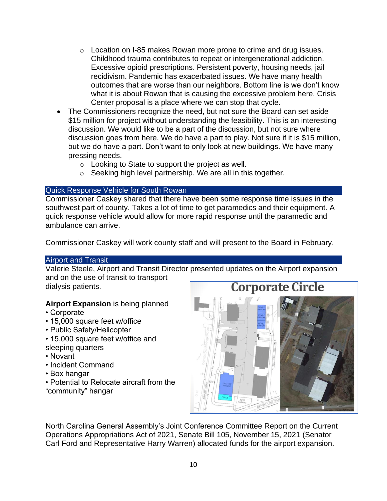- o Location on I-85 makes Rowan more prone to crime and drug issues. Childhood trauma contributes to repeat or intergenerational addiction. Excessive opioid prescriptions. Persistent poverty, housing needs, jail recidivism. Pandemic has exacerbated issues. We have many health outcomes that are worse than our neighbors. Bottom line is we don't know what it is about Rowan that is causing the excessive problem here. Crisis Center proposal is a place where we can stop that cycle.
- The Commissioners recognize the need, but not sure the Board can set aside \$15 million for project without understanding the feasibility. This is an interesting discussion. We would like to be a part of the discussion, but not sure where discussion goes from here. We do have a part to play. Not sure if it is \$15 million, but we do have a part. Don't want to only look at new buildings. We have many pressing needs.
	- o Looking to State to support the project as well.
	- o Seeking high level partnership. We are all in this together.

#### Quick Response Vehicle for South Rowan

Commissioner Caskey shared that there have been some response time issues in the southwest part of county. Takes a lot of time to get paramedics and their equipment. A quick response vehicle would allow for more rapid response until the paramedic and ambulance can arrive.

Commissioner Caskey will work county staff and will present to the Board in February.

#### Airport and Transit

Valerie Steele, Airport and Transit Director presented updates on the Airport expansion and on the use of transit to transport

dialysis patients.

## **Airport Expansion** is being planned

- Corporate
- 15,000 square feet w/office
- Public Safety/Helicopter
- 15,000 square feet w/office and sleeping quarters
- Novant
- Incident Command
- Box hangar
- Potential to Relocate aircraft from the "community" hangar



North Carolina General Assembly's Joint Conference Committee Report on the Current Operations Appropriations Act of 2021, Senate Bill 105, November 15, 2021 (Senator Carl Ford and Representative Harry Warren) allocated funds for the airport expansion.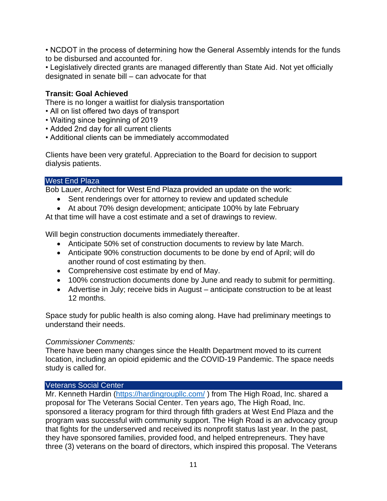• NCDOT in the process of determining how the General Assembly intends for the funds to be disbursed and accounted for.

• Legislatively directed grants are managed differently than State Aid. Not yet officially designated in senate bill – can advocate for that

## **Transit: Goal Achieved**

There is no longer a waitlist for dialysis transportation

- All on list offered two days of transport
- Waiting since beginning of 2019
- Added 2nd day for all current clients
- Additional clients can be immediately accommodated

Clients have been very grateful. Appreciation to the Board for decision to support dialysis patients.

## West End Plaza

Bob Lauer, Architect for West End Plaza provided an update on the work:

- Sent renderings over for attorney to review and updated schedule
- At about 70% design development; anticipate 100% by late February

At that time will have a cost estimate and a set of drawings to review.

Will begin construction documents immediately thereafter.

- Anticipate 50% set of construction documents to review by late March.
- Anticipate 90% construction documents to be done by end of April; will do another round of cost estimating by then.
- Comprehensive cost estimate by end of May.
- 100% construction documents done by June and ready to submit for permitting.
- Advertise in July; receive bids in August anticipate construction to be at least 12 months.

Space study for public health is also coming along. Have had preliminary meetings to understand their needs.

## *Commissioner Comments:*

There have been many changes since the Health Department moved to its current location, including an opioid epidemic and the COVID-19 Pandemic. The space needs study is called for.

## Veterans Social Center

Mr. Kenneth Hardin [\(https://hardingroupllc.com/](https://hardingroupllc.com/) ) from The High Road, Inc. shared a proposal for The Veterans Social Center. Ten years ago, The High Road, Inc. sponsored a literacy program for third through fifth graders at West End Plaza and the program was successful with community support. The High Road is an advocacy group that fights for the underserved and received its nonprofit status last year. In the past, they have sponsored families, provided food, and helped entrepreneurs. They have three (3) veterans on the board of directors, which inspired this proposal. The Veterans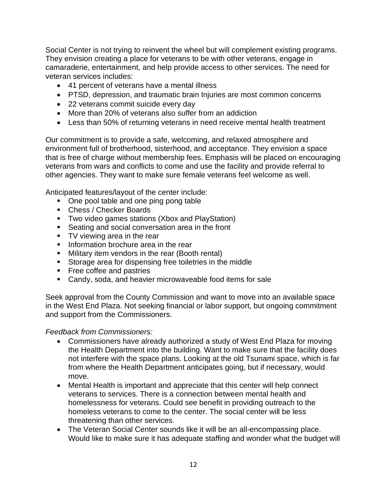Social Center is not trying to reinvent the wheel but will complement existing programs. They envision creating a place for veterans to be with other veterans, engage in camaraderie, entertainment, and help provide access to other services. The need for veteran services includes:

- 41 percent of veterans have a mental illness
- PTSD, depression, and traumatic brain Injuries are most common concerns
- 22 veterans commit suicide every day
- More than 20% of veterans also suffer from an addiction
- Less than 50% of returning veterans in need receive mental health treatment

Our commitment is to provide a safe, welcoming, and relaxed atmosphere and environment full of brotherhood, sisterhood, and acceptance. They envision a space that is free of charge without membership fees. Emphasis will be placed on encouraging veterans from wars and conflicts to come and use the facility and provide referral to other agencies. They want to make sure female veterans feel welcome as well.

Anticipated features/layout of the center include:

- One pool table and one ping pong table
- Chess / Checker Boards
- Two video games stations (Xbox and PlayStation)
- Seating and social conversation area in the front
- TV viewing area in the rear
- **·** Information brochure area in the rear
- **E** Military item vendors in the rear (Booth rental)
- Storage area for dispensing free toiletries in the middle
- Free coffee and pastries
- Candy, soda, and heavier microwaveable food items for sale

Seek approval from the County Commission and want to move into an available space in the West End Plaza. Not seeking financial or labor support, but ongoing commitment and support from the Commissioners.

## *Feedback from Commissioners:*

- Commissioners have already authorized a study of West End Plaza for moving the Health Department into the building. Want to make sure that the facility does not interfere with the space plans. Looking at the old Tsunami space, which is far from where the Health Department anticipates going, but if necessary, would move.
- Mental Health is important and appreciate that this center will help connect veterans to services. There is a connection between mental health and homelessness for veterans. Could see benefit in providing outreach to the homeless veterans to come to the center. The social center will be less threatening than other services.
- The Veteran Social Center sounds like it will be an all-encompassing place. Would like to make sure it has adequate staffing and wonder what the budget will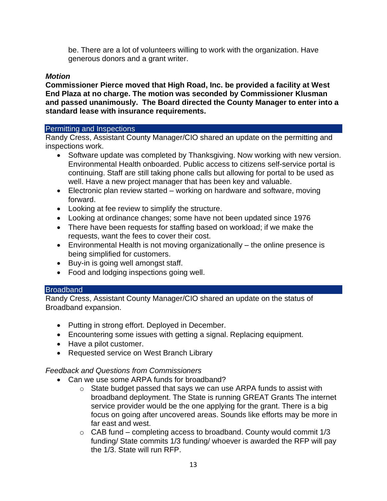be. There are a lot of volunteers willing to work with the organization. Have generous donors and a grant writer.

## *Motion*

**Commissioner Pierce moved that High Road, Inc. be provided a facility at West End Plaza at no charge. The motion was seconded by Commissioner Klusman and passed unanimously. The Board directed the County Manager to enter into a standard lease with insurance requirements.**

#### Permitting and Inspections

Randy Cress, Assistant County Manager/CIO shared an update on the permitting and inspections work.

- Software update was completed by Thanksgiving. Now working with new version. Environmental Health onboarded. Public access to citizens self-service portal is continuing. Staff are still taking phone calls but allowing for portal to be used as well. Have a new project manager that has been key and valuable.
- Electronic plan review started working on hardware and software, moving forward.
- Looking at fee review to simplify the structure.
- Looking at ordinance changes; some have not been updated since 1976
- There have been requests for staffing based on workload; if we make the requests, want the fees to cover their cost.
- Environmental Health is not moving organizationally the online presence is being simplified for customers.
- Buy-in is going well amongst staff.
- Food and lodging inspections going well.

#### **Broadband**

Randy Cress, Assistant County Manager/CIO shared an update on the status of Broadband expansion.

- Putting in strong effort. Deployed in December.
- Encountering some issues with getting a signal. Replacing equipment.
- Have a pilot customer.
- Requested service on West Branch Library

## *Feedback and Questions from Commissioners*

- Can we use some ARPA funds for broadband?
	- o State budget passed that says we can use ARPA funds to assist with broadband deployment. The State is running GREAT Grants The internet service provider would be the one applying for the grant. There is a big focus on going after uncovered areas. Sounds like efforts may be more in far east and west.
	- $\circ$  CAB fund completing access to broadband. County would commit 1/3 funding/ State commits 1/3 funding/ whoever is awarded the RFP will pay the 1/3. State will run RFP.